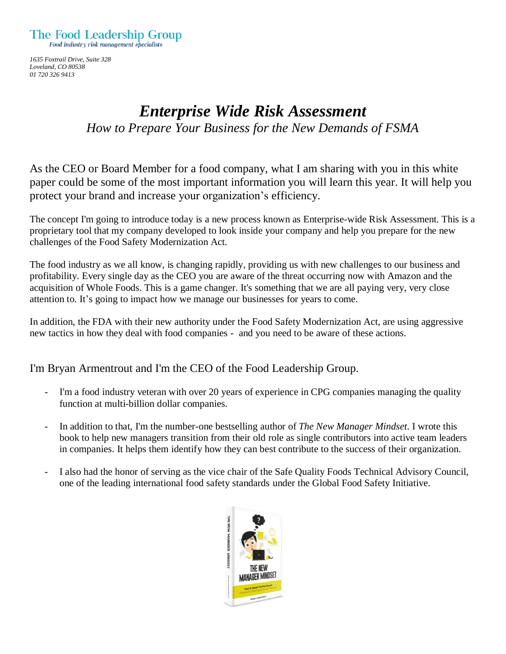

*1635 Foxtrail Drive, Suite 328 Loveland, CO 80538 01 720 326 9413*

## *Enterprise Wide Risk Assessment How to Prepare Your Business for the New Demands of FSMA*

As the CEO or Board Member for a food company, what I am sharing with you in this white paper could be some of the most important information you will learn this year. It will help you protect your brand and increase your organization's efficiency.

The concept I'm going to introduce today is a new process known as Enterprise-wide Risk Assessment. This is a proprietary tool that my company developed to look inside your company and help you prepare for the new challenges of the Food Safety Modernization Act.

The food industry as we all know, is changing rapidly, providing us with new challenges to our business and profitability. Every single day as the CEO you are aware of the threat occurring now with Amazon and the acquisition of Whole Foods. This is a game changer. It's something that we are all paying very, very close attention to. It's going to impact how we manage our businesses for years to come.

In addition, the FDA with their new authority under the Food Safety Modernization Act, are using aggressive new tactics in how they deal with food companies - and you need to be aware of these actions.

I'm Bryan Armentrout and I'm the CEO of the Food Leadership Group.

- I'm a food industry veteran with over 20 years of experience in CPG companies managing the quality function at multi-billion dollar companies.
- In addition to that, I'm the number-one bestselling author of *The New Manager Mindset*. I wrote this book to help new managers transition from their old role as single contributors into active team leaders in companies. It helps them identify how they can best contribute to the success of their organization.
- I also had the honor of serving as the vice chair of the Safe Quality Foods Technical Advisory Council, one of the leading international food safety standards under the Global Food Safety Initiative.

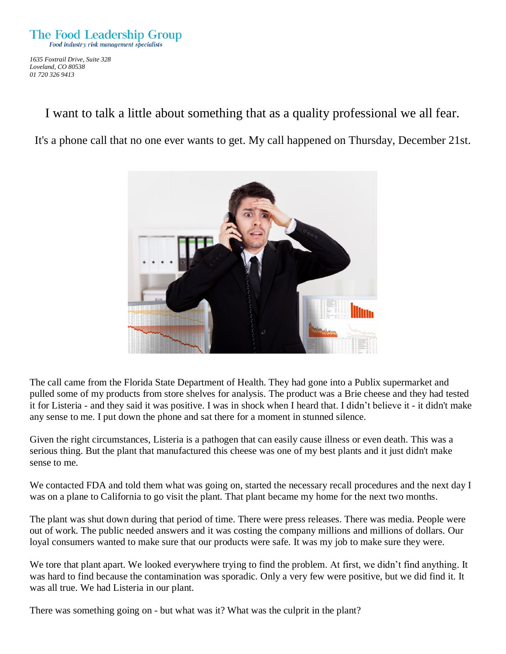*1635 Foxtrail Drive, Suite 328 Loveland, CO 80538 01 720 326 9413*

I want to talk a little about something that as a quality professional we all fear.

It's a phone call that no one ever wants to get. My call happened on Thursday, December 21st.



The call came from the Florida State Department of Health. They had gone into a Publix supermarket and pulled some of my products from store shelves for analysis. The product was a Brie cheese and they had tested it for Listeria - and they said it was positive. I was in shock when I heard that. I didn't believe it - it didn't make any sense to me. I put down the phone and sat there for a moment in stunned silence.

Given the right circumstances, Listeria is a pathogen that can easily cause illness or even death. This was a serious thing. But the plant that manufactured this cheese was one of my best plants and it just didn't make sense to me.

We contacted FDA and told them what was going on, started the necessary recall procedures and the next day I was on a plane to California to go visit the plant. That plant became my home for the next two months.

The plant was shut down during that period of time. There were press releases. There was media. People were out of work. The public needed answers and it was costing the company millions and millions of dollars. Our loyal consumers wanted to make sure that our products were safe. It was my job to make sure they were.

We tore that plant apart. We looked everywhere trying to find the problem. At first, we didn't find anything. It was hard to find because the contamination was sporadic. Only a very few were positive, but we did find it. It was all true. We had Listeria in our plant.

There was something going on - but what was it? What was the culprit in the plant?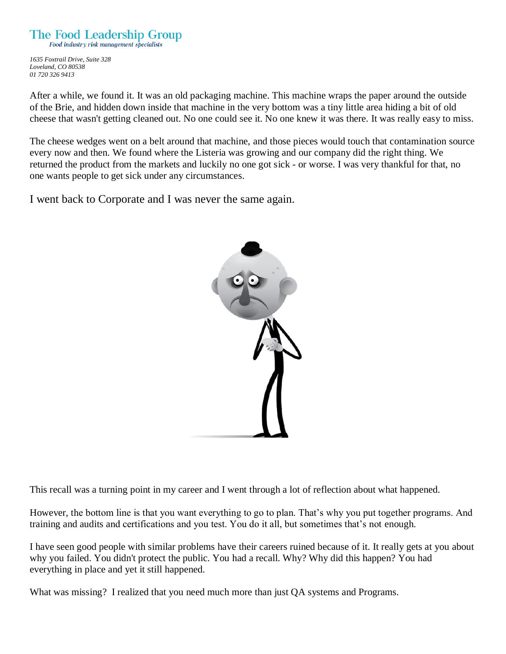*1635 Foxtrail Drive, Suite 328*

*Loveland, CO 80538 01 720 326 9413*

After a while, we found it. It was an old packaging machine. This machine wraps the paper around the outside of the Brie, and hidden down inside that machine in the very bottom was a tiny little area hiding a bit of old cheese that wasn't getting cleaned out. No one could see it. No one knew it was there. It was really easy to miss.

The cheese wedges went on a belt around that machine, and those pieces would touch that contamination source every now and then. We found where the Listeria was growing and our company did the right thing. We returned the product from the markets and luckily no one got sick - or worse. I was very thankful for that, no one wants people to get sick under any circumstances.

I went back to Corporate and I was never the same again.



This recall was a turning point in my career and I went through a lot of reflection about what happened.

However, the bottom line is that you want everything to go to plan. That's why you put together programs. And training and audits and certifications and you test. You do it all, but sometimes that's not enough.

I have seen good people with similar problems have their careers ruined because of it. It really gets at you about why you failed. You didn't protect the public. You had a recall. Why? Why did this happen? You had everything in place and yet it still happened.

What was missing? I realized that you need much more than just QA systems and Programs.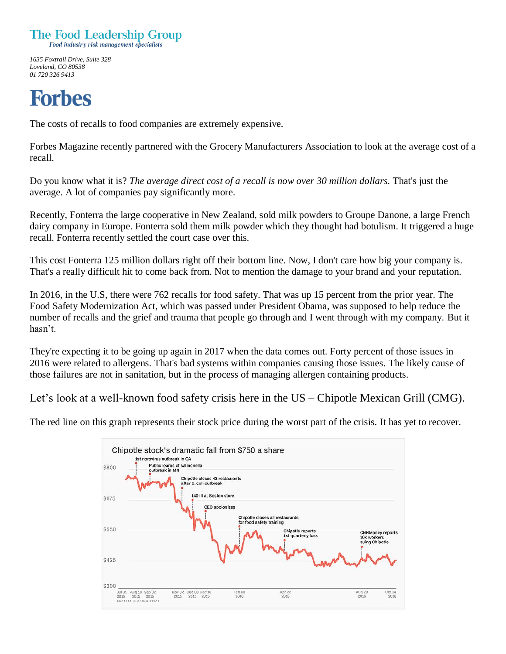

*1635 Foxtrail Drive, Suite 328 Loveland, CO 80538 01 720 326 9413*

# **Forbes**

The costs of recalls to food companies are extremely expensive.

Forbes Magazine recently partnered with the Grocery Manufacturers Association to look at the average cost of a recall.

Do you know what it is? *The average direct cost of a recall is now over 30 million dollars.* That's just the average. A lot of companies pay significantly more.

Recently, Fonterra the large cooperative in New Zealand, sold milk powders to Groupe Danone, a large French dairy company in Europe. Fonterra sold them milk powder which they thought had botulism. It triggered a huge recall. Fonterra recently settled the court case over this.

This cost Fonterra 125 million dollars right off their bottom line. Now, I don't care how big your company is. That's a really difficult hit to come back from. Not to mention the damage to your brand and your reputation.

In 2016, in the U.S, there were 762 recalls for food safety. That was up 15 percent from the prior year. The Food Safety Modernization Act, which was passed under President Obama, was supposed to help reduce the number of recalls and the grief and trauma that people go through and I went through with my company. But it hasn't.

They're expecting it to be going up again in 2017 when the data comes out. Forty percent of those issues in 2016 were related to allergens. That's bad systems within companies causing those issues. The likely cause of those failures are not in sanitation, but in the process of managing allergen containing products.

Let's look at a well-known food safety crisis here in the US – Chipotle Mexican Grill (CMG).

The red line on this graph represents their stock price during the worst part of the crisis. It has yet to recover.

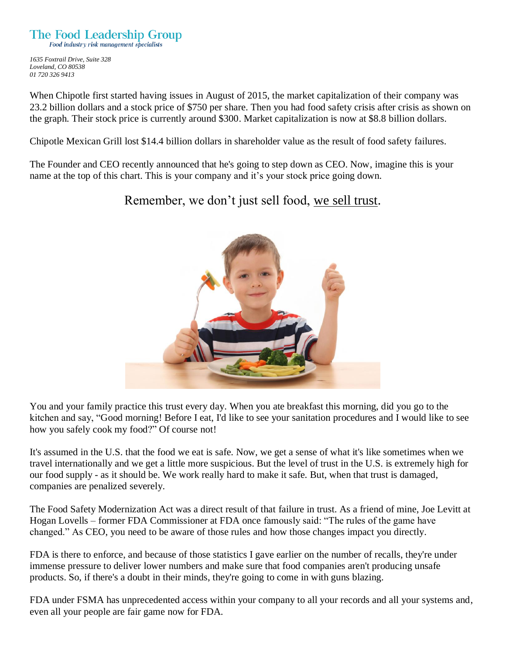*1635 Foxtrail Drive, Suite 328 Loveland, CO 80538 01 720 326 9413*

When Chipotle first started having issues in August of 2015, the market capitalization of their company was 23.2 billion dollars and a stock price of \$750 per share. Then you had food safety crisis after crisis as shown on the graph. Their stock price is currently around \$300. Market capitalization is now at \$8.8 billion dollars.

Chipotle Mexican Grill lost \$14.4 billion dollars in shareholder value as the result of food safety failures.

The Founder and CEO recently announced that he's going to step down as CEO. Now, imagine this is your name at the top of this chart. This is your company and it's your stock price going down.

Remember, we don't just sell food, we sell trust.



You and your family practice this trust every day. When you ate breakfast this morning, did you go to the kitchen and say, "Good morning! Before I eat, I'd like to see your sanitation procedures and I would like to see how you safely cook my food?" Of course not!

It's assumed in the U.S. that the food we eat is safe. Now, we get a sense of what it's like sometimes when we travel internationally and we get a little more suspicious. But the level of trust in the U.S. is extremely high for our food supply - as it should be. We work really hard to make it safe. But, when that trust is damaged, companies are penalized severely.

The Food Safety Modernization Act was a direct result of that failure in trust. As a friend of mine, Joe Levitt at Hogan Lovells – former FDA Commissioner at FDA once famously said: "The rules of the game have changed." As CEO, you need to be aware of those rules and how those changes impact you directly.

FDA is there to enforce, and because of those statistics I gave earlier on the number of recalls, they're under immense pressure to deliver lower numbers and make sure that food companies aren't producing unsafe products. So, if there's a doubt in their minds, they're going to come in with guns blazing.

FDA under FSMA has unprecedented access within your company to all your records and all your systems and, even all your people are fair game now for FDA.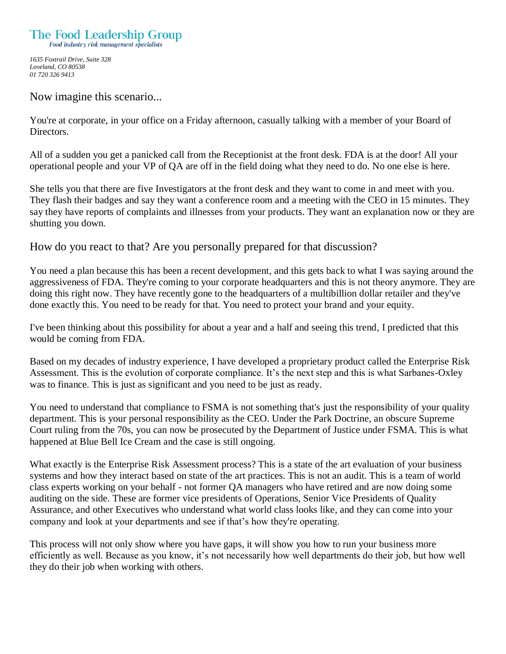*1635 Foxtrail Drive, Suite 328 Loveland, CO 80538 01 720 326 9413*

Now imagine this scenario...

You're at corporate, in your office on a Friday afternoon, casually talking with a member of your Board of Directors.

All of a sudden you get a panicked call from the Receptionist at the front desk. FDA is at the door! All your operational people and your VP of QA are off in the field doing what they need to do. No one else is here.

She tells you that there are five Investigators at the front desk and they want to come in and meet with you. They flash their badges and say they want a conference room and a meeting with the CEO in 15 minutes. They say they have reports of complaints and illnesses from your products. They want an explanation now or they are shutting you down.

#### How do you react to that? Are you personally prepared for that discussion?

You need a plan because this has been a recent development, and this gets back to what I was saying around the aggressiveness of FDA. They're coming to your corporate headquarters and this is not theory anymore. They are doing this right now. They have recently gone to the headquarters of a multibillion dollar retailer and they've done exactly this. You need to be ready for that. You need to protect your brand and your equity.

I've been thinking about this possibility for about a year and a half and seeing this trend, I predicted that this would be coming from FDA.

Based on my decades of industry experience, I have developed a proprietary product called the Enterprise Risk Assessment. This is the evolution of corporate compliance. It's the next step and this is what Sarbanes-Oxley was to finance. This is just as significant and you need to be just as ready.

You need to understand that compliance to FSMA is not something that's just the responsibility of your quality department. This is your personal responsibility as the CEO. Under the Park Doctrine, an obscure Supreme Court ruling from the 70s, you can now be prosecuted by the Department of Justice under FSMA. This is what happened at Blue Bell Ice Cream and the case is still ongoing.

What exactly is the Enterprise Risk Assessment process? This is a state of the art evaluation of your business systems and how they interact based on state of the art practices. This is not an audit. This is a team of world class experts working on your behalf - not former QA managers who have retired and are now doing some auditing on the side. These are former vice presidents of Operations, Senior Vice Presidents of Quality Assurance, and other Executives who understand what world class looks like, and they can come into your company and look at your departments and see if that's how they're operating.

This process will not only show where you have gaps, it will show you how to run your business more efficiently as well. Because as you know, it's not necessarily how well departments do their job, but how well they do their job when working with others.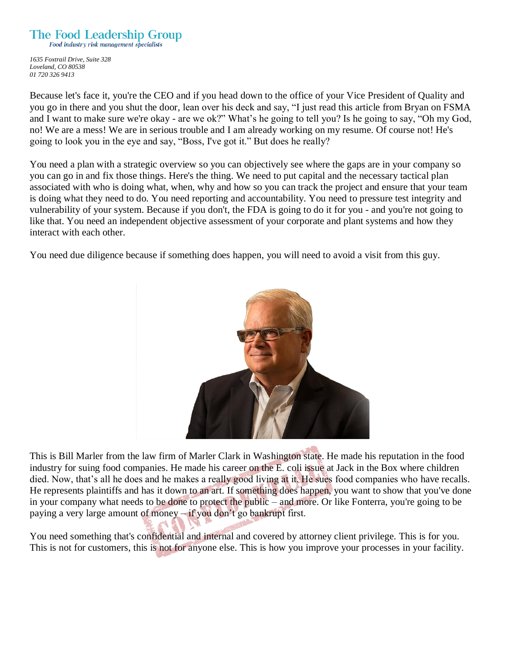### The Food Leadership Group

Food industry risk management specialists

*1635 Foxtrail Drive, Suite 328 Loveland, CO 80538 01 720 326 9413*

Because let's face it, you're the CEO and if you head down to the office of your Vice President of Quality and you go in there and you shut the door, lean over his deck and say, "I just read this article from Bryan on FSMA and I want to make sure we're okay - are we ok?" What's he going to tell you? Is he going to say, "Oh my God, no! We are a mess! We are in serious trouble and I am already working on my resume. Of course not! He's going to look you in the eye and say, "Boss, I've got it." But does he really?

You need a plan with a strategic overview so you can objectively see where the gaps are in your company so you can go in and fix those things. Here's the thing. We need to put capital and the necessary tactical plan associated with who is doing what, when, why and how so you can track the project and ensure that your team is doing what they need to do. You need reporting and accountability. You need to pressure test integrity and vulnerability of your system. Because if you don't, the FDA is going to do it for you - and you're not going to like that. You need an independent objective assessment of your corporate and plant systems and how they interact with each other.

You need due diligence because if something does happen, you will need to avoid a visit from this guy.



This is Bill Marler from the law firm of Marler Clark in Washington state. He made his reputation in the food industry for suing food companies. He made his career on the E. coli issue at Jack in the Box where children died. Now, that's all he does and he makes a really good living at it. He sues food companies who have recalls. He represents plaintiffs and has it down to an art. If something does happen, you want to show that you've done in your company what needs to be done to protect the public – and more. Or like Fonterra, you're going to be paying a very large amount of money – if you don't go bankrupt first.

You need something that's confidential and internal and covered by attorney client privilege. This is for you. This is not for customers, this is not for anyone else. This is how you improve your processes in your facility.